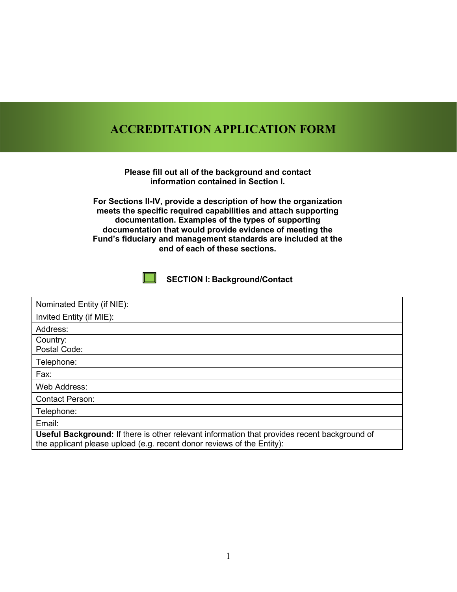### **ACCREDITATION APPLICATION FORM**

**Please fill out all of the background and contact information contained in Section I.**

**For Sections II-IV, provide a description of how the organization meets the specific required capabilities and attach supporting documentation. Examples of the types of supporting documentation that would provide evidence of meeting the Fund's fiduciary and management standards are included at the end of each of these sections.**

**SECTION I: Background/Contact**

| Nominated Entity (if NIE):                                                                                                                                                    |
|-------------------------------------------------------------------------------------------------------------------------------------------------------------------------------|
| Invited Entity (if MIE):                                                                                                                                                      |
| Address:                                                                                                                                                                      |
| Country:<br>Postal Code:                                                                                                                                                      |
| Telephone:                                                                                                                                                                    |
| Fax:                                                                                                                                                                          |
| Web Address:                                                                                                                                                                  |
| <b>Contact Person:</b>                                                                                                                                                        |
| Telephone:                                                                                                                                                                    |
| Email:                                                                                                                                                                        |
| <b>Useful Background:</b> If there is other relevant information that provides recent background of<br>the applicant please upload (e.g. recent donor reviews of the Entity): |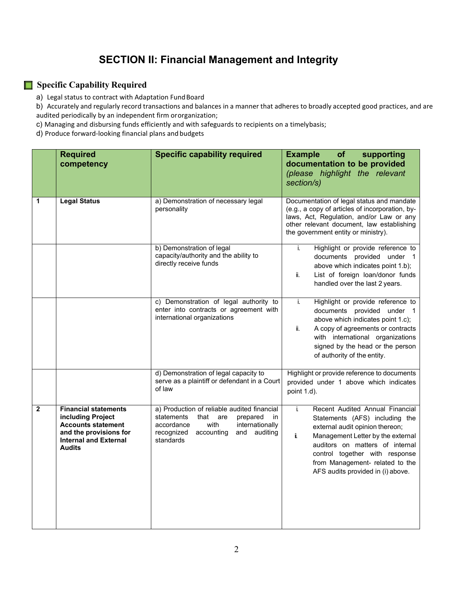## **SECTION II: Financial Management and Integrity**

#### **Specific Capability Required**

a) Legal status to contract with Adaptation Fund Board

b) Accurately and regularly record transactions and balances in a manner that adheres to broadly accepted good practices, and are audited periodically by an independent firm ororganization;

c) Managing and disbursing funds efficiently and with safeguards to recipients on a timelybasis;

d) Produce forward-looking financial plans and budgets

|              | <b>Required</b><br>competency                                                                                                                            | <b>Specific capability required</b>                                                                                                                                                          | of<br><b>Example</b><br>supporting<br>documentation to be provided<br>(please highlight the relevant<br>section/s)                                                                                                                                                                                 |
|--------------|----------------------------------------------------------------------------------------------------------------------------------------------------------|----------------------------------------------------------------------------------------------------------------------------------------------------------------------------------------------|----------------------------------------------------------------------------------------------------------------------------------------------------------------------------------------------------------------------------------------------------------------------------------------------------|
| 1            | <b>Legal Status</b>                                                                                                                                      | a) Demonstration of necessary legal<br>personality                                                                                                                                           | Documentation of legal status and mandate<br>(e.g., a copy of articles of incorporation, by-<br>laws, Act, Regulation, and/or Law or any<br>other relevant document, law establishing<br>the government entity or ministry).                                                                       |
|              |                                                                                                                                                          | b) Demonstration of legal<br>capacity/authority and the ability to<br>directly receive funds                                                                                                 | Highlight or provide reference to<br>i.<br>documents provided under 1<br>above which indicates point 1.b);<br>List of foreign loan/donor funds<br>ii.<br>handled over the last 2 years.                                                                                                            |
|              |                                                                                                                                                          | c) Demonstration of legal authority to<br>enter into contracts or agreement with<br>international organizations                                                                              | Highlight or provide reference to<br>i.<br>documents provided under 1<br>above which indicates point 1.c);<br>ii.<br>A copy of agreements or contracts<br>with international organizations<br>signed by the head or the person<br>of authority of the entity.                                      |
|              |                                                                                                                                                          | d) Demonstration of legal capacity to<br>serve as a plaintiff or defendant in a Court<br>of law                                                                                              | Highlight or provide reference to documents<br>provided under 1 above which indicates<br>point 1.d).                                                                                                                                                                                               |
| $\mathbf{2}$ | <b>Financial statements</b><br>including Project<br><b>Accounts statement</b><br>and the provisions for<br><b>Internal and External</b><br><b>Audits</b> | a) Production of reliable audited financial<br>statements<br>that are<br>prepared<br>in<br>internationally<br>accordance<br>with<br>recognized<br>auditing<br>accounting<br>and<br>standards | Recent Audited Annual Financial<br>i.<br>Statements (AFS) including the<br>external audit opinion thereon;<br>i.<br>Management Letter by the external<br>auditors on matters of internal<br>control together with response<br>from Management- related to the<br>AFS audits provided in (i) above. |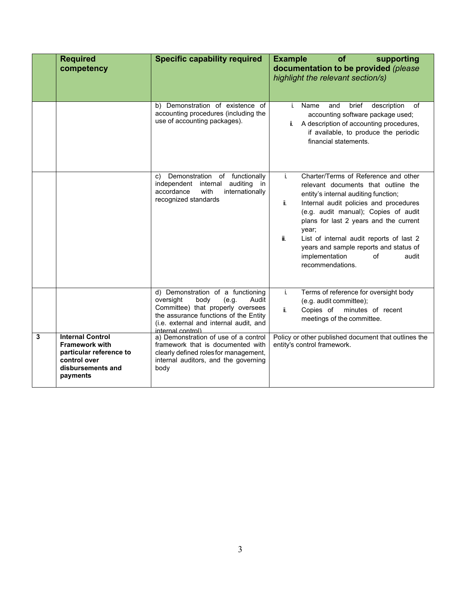|   | <b>Required</b><br>competency                                                                                                | <b>Specific capability required</b>                                                                                                                                                                                   | <b>Example</b><br>supporting<br>of<br>documentation to be provided (please<br>highlight the relevant section/s)                                                                                                                                                                                                                                                                                                         |
|---|------------------------------------------------------------------------------------------------------------------------------|-----------------------------------------------------------------------------------------------------------------------------------------------------------------------------------------------------------------------|-------------------------------------------------------------------------------------------------------------------------------------------------------------------------------------------------------------------------------------------------------------------------------------------------------------------------------------------------------------------------------------------------------------------------|
|   |                                                                                                                              | b) Demonstration of existence of<br>accounting procedures (including the<br>use of accounting packages).                                                                                                              | Name<br>brief<br>description<br>of<br>and<br>i.<br>accounting software package used;<br>ii. A description of accounting procedures,<br>if available, to produce the periodic<br>financial statements.                                                                                                                                                                                                                   |
|   |                                                                                                                              | c) Demonstration of functionally<br>auditing<br>independent internal<br>in.<br>internationally<br>accordance<br>with<br>recognized standards                                                                          | i.<br>Charter/Terms of Reference and other<br>relevant documents that outline the<br>entity's internal auditing function;<br>Internal audit policies and procedures<br>ii.<br>(e.g. audit manual); Copies of audit<br>plans for last 2 years and the current<br>year;<br>ii.<br>List of internal audit reports of last 2<br>years and sample reports and status of<br>implementation<br>of<br>audit<br>recommendations. |
|   |                                                                                                                              | d) Demonstration of a functioning<br>oversight<br>body<br>(e.g.<br>Audit<br>Committee) that properly oversees<br>the assurance functions of the Entity<br>(i.e. external and internal audit, and<br>internal control) | i.<br>Terms of reference for oversight body<br>(e.g. audit committee);<br>Ïİ.<br>Copies of<br>minutes of recent<br>meetings of the committee.                                                                                                                                                                                                                                                                           |
| 3 | <b>Internal Control</b><br><b>Framework with</b><br>particular reference to<br>control over<br>disbursements and<br>payments | a) Demonstration of use of a control<br>framework that is documented with<br>clearly defined roles for management,<br>internal auditors, and the governing<br>body                                                    | Policy or other published document that outlines the<br>entity's control framework.                                                                                                                                                                                                                                                                                                                                     |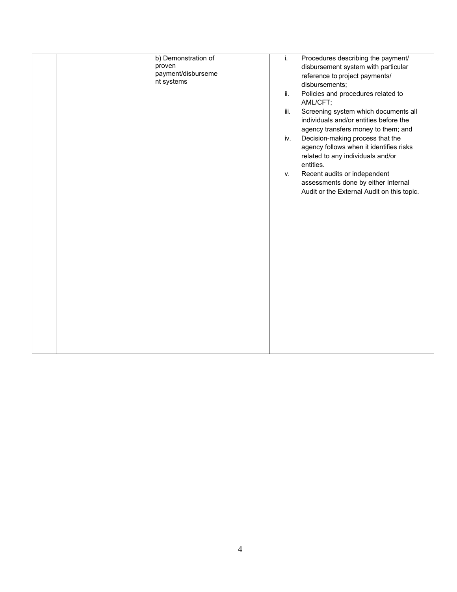| b) Demonstration of<br>proven<br>payment/disburseme<br>nt systems | Procedures describing the payment/<br>i.<br>disbursement system with particular<br>reference to project payments/<br>disbursements;<br>Policies and procedures related to<br>ii.<br>AML/CFT;<br>Screening system which documents all<br>iii.<br>individuals and/or entities before the<br>agency transfers money to them; and<br>Decision-making process that the<br>iv.<br>agency follows when it identifies risks<br>related to any individuals and/or<br>entities.<br>Recent audits or independent<br>v.<br>assessments done by either Internal<br>Audit or the External Audit on this topic. |
|-------------------------------------------------------------------|--------------------------------------------------------------------------------------------------------------------------------------------------------------------------------------------------------------------------------------------------------------------------------------------------------------------------------------------------------------------------------------------------------------------------------------------------------------------------------------------------------------------------------------------------------------------------------------------------|
|-------------------------------------------------------------------|--------------------------------------------------------------------------------------------------------------------------------------------------------------------------------------------------------------------------------------------------------------------------------------------------------------------------------------------------------------------------------------------------------------------------------------------------------------------------------------------------------------------------------------------------------------------------------------------------|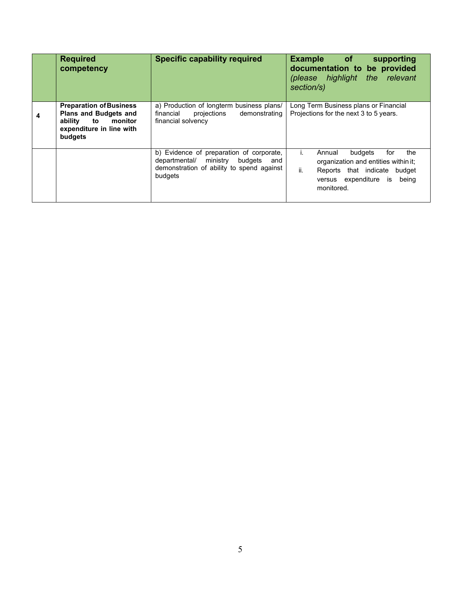| <b>Required</b><br>competency                                                                                               | <b>Specific capability required</b>                                                                                                       | <b>Example</b> of<br>supporting<br>documentation to be provided<br>(please highlight the relevant<br>section/s)                                                |
|-----------------------------------------------------------------------------------------------------------------------------|-------------------------------------------------------------------------------------------------------------------------------------------|----------------------------------------------------------------------------------------------------------------------------------------------------------------|
| <b>Preparation of Business</b><br><b>Plans and Budgets and</b><br>ability to monitor<br>expenditure in line with<br>budgets | a) Production of longterm business plans/<br>financial projections<br>demonstrating<br>financial solvency                                 | Long Term Business plans or Financial<br>Projections for the next 3 to 5 years.                                                                                |
|                                                                                                                             | b) Evidence of preparation of corporate,<br>departmental/ ministry budgets<br>and<br>demonstration of ability to spend against<br>budgets | the<br>budgets<br>for<br>Annual<br>organization and entities within it;<br>ii.<br>Reports that indicate budget<br>versus expenditure is<br>being<br>monitored. |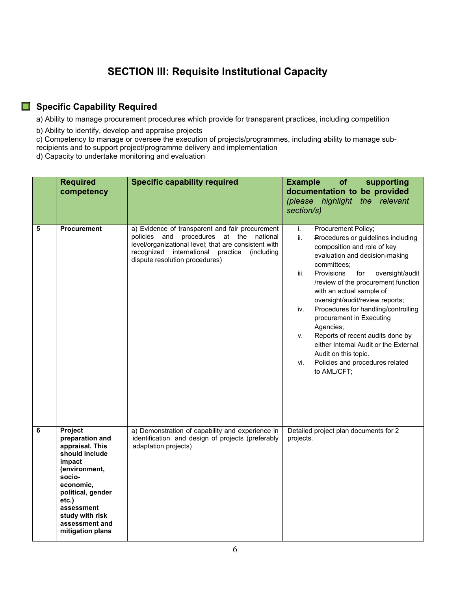### **SECTION III: Requisite Institutional Capacity**

#### **Specific Capability Required**

a) Ability to manage procurement procedures which provide for transparent practices, including competition

b) Ability to identify, develop and appraise projects

c) Competency to manage or oversee the execution of projects/programmes, including ability to manage subrecipients and to support project/programme delivery and implementation

d) Capacity to undertake monitoring and evaluation

|   | <b>Required</b><br>competency                                                                                                                                                                                          | <b>Specific capability required</b>                                                                                                                                                                                                         | <b>Example</b><br>of<br>supporting<br>documentation to be provided<br>the relevant<br>(please highlight<br>section/s)                                                                                                                                                                                                                                                                                                                                                                                                                                                   |
|---|------------------------------------------------------------------------------------------------------------------------------------------------------------------------------------------------------------------------|---------------------------------------------------------------------------------------------------------------------------------------------------------------------------------------------------------------------------------------------|-------------------------------------------------------------------------------------------------------------------------------------------------------------------------------------------------------------------------------------------------------------------------------------------------------------------------------------------------------------------------------------------------------------------------------------------------------------------------------------------------------------------------------------------------------------------------|
| 5 | <b>Procurement</b>                                                                                                                                                                                                     | a) Evidence of transparent and fair procurement<br>procedures at the national<br>policies and<br>level/organizational level; that are consistent with<br>recognized international practice<br>(including)<br>dispute resolution procedures) | Procurement Policy;<br>i.<br>ii.<br>Procedures or guidelines including<br>composition and role of key<br>evaluation and decision-making<br>committees:<br>Provisions<br>for<br>iii.<br>oversight/audit<br>/review of the procurement function<br>with an actual sample of<br>oversight/audit/review reports;<br>Procedures for handling/controlling<br>iv.<br>procurement in Executing<br>Agencies;<br>Reports of recent audits done by<br>v.<br>either Internal Audit or the External<br>Audit on this topic.<br>Policies and procedures related<br>vi.<br>to AML/CFT; |
| 6 | Project<br>preparation and<br>appraisal. This<br>should include<br>impact<br>(environment,<br>socio-<br>economic,<br>political, gender<br>etc.)<br>assessment<br>study with risk<br>assessment and<br>mitigation plans | a) Demonstration of capability and experience in<br>identification and design of projects (preferably<br>adaptation projects)                                                                                                               | Detailed project plan documents for 2<br>projects.                                                                                                                                                                                                                                                                                                                                                                                                                                                                                                                      |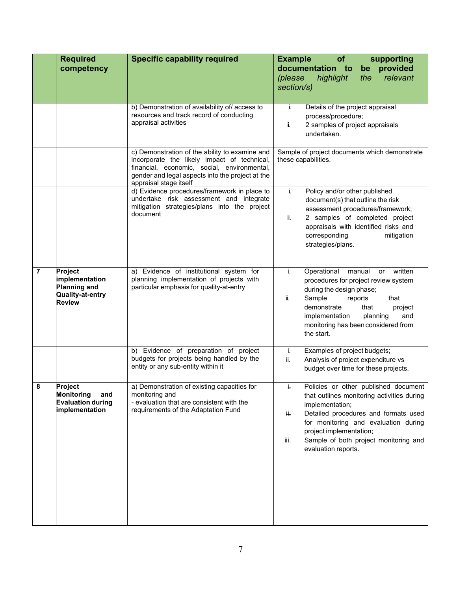|   | <b>Required</b><br>competency                                                     | <b>Specific capability required</b>                                                                                                                                                                                        | of<br><b>Example</b><br>supporting<br>documentation to<br>provided<br>be<br>relevant<br>(please<br>highlight<br>the<br>section/s)                                                                                                                                                               |
|---|-----------------------------------------------------------------------------------|----------------------------------------------------------------------------------------------------------------------------------------------------------------------------------------------------------------------------|-------------------------------------------------------------------------------------------------------------------------------------------------------------------------------------------------------------------------------------------------------------------------------------------------|
|   |                                                                                   | b) Demonstration of availability of/ access to<br>resources and track record of conducting<br>appraisal activities                                                                                                         | Details of the project appraisal<br>i.<br>process/procedure;<br>2 samples of project appraisals<br>Ĩ.<br>undertaken.                                                                                                                                                                            |
|   |                                                                                   | c) Demonstration of the ability to examine and<br>incorporate the likely impact of technical,<br>financial, economic, social, environmental,<br>gender and legal aspects into the project at the<br>appraisal stage itself | Sample of project documents which demonstrate<br>these capabilities.                                                                                                                                                                                                                            |
|   |                                                                                   | d) Evidence procedures/framework in place to<br>undertake risk assessment and integrate<br>mitigation strategies/plans into the project<br>document                                                                        | Policy and/or other published<br>i.<br>document(s) that outline the risk<br>assessment procedures/framework;<br>2 samples of completed project<br>ÏI.<br>appraisals with identified risks and<br>corresponding<br>mitigation<br>strategies/plans.                                               |
| 7 | Project<br>implementation<br><b>Planning and</b><br>Quality-at-entry<br>Review    | a) Evidence of institutional system for<br>planning implementation of projects with<br>particular emphasis for quality-at-entry                                                                                            | j.<br>Operational<br>manual or<br>written<br>procedures for project review system<br>during the design phase;<br>Sample<br>j,<br>reports<br>that<br>demonstrate<br>that<br>project<br>implementation<br>planning<br>and<br>monitoring has been considered from<br>the start.                    |
|   |                                                                                   | b) Evidence of preparation of project<br>budgets for projects being handled by the<br>entity or any sub-entity within it                                                                                                   | Examples of project budgets;<br>j.<br>ii.<br>Analysis of project expenditure vs<br>budget over time for these projects.                                                                                                                                                                         |
| 8 | Project<br><b>Monitoring</b><br>and<br><b>Evaluation during</b><br>implementation | a) Demonstration of existing capacities for<br>monitoring and<br>- evaluation that are consistent with the<br>requirements of the Adaptation Fund                                                                          | Policies or other published document<br>that outlines monitoring activities during<br>implementation;<br>Detailed procedures and formats used<br>ii.<br>for monitoring and evaluation during<br>project implementation;<br>Sample of both project monitoring and<br>iii.<br>evaluation reports. |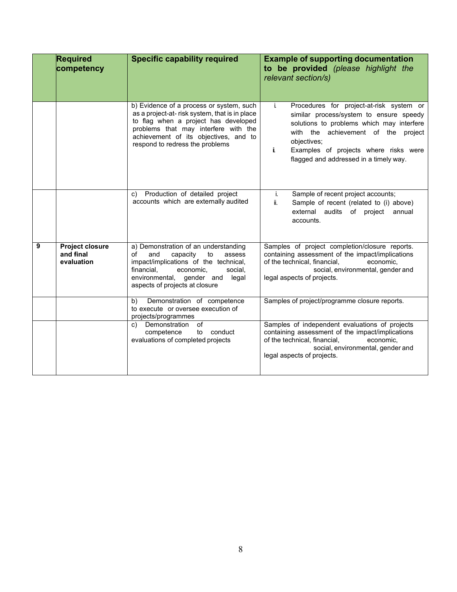|   | <b>Required</b><br>competency                     | <b>Specific capability required</b>                                                                                                                                                                                                                   | <b>Example of supporting documentation</b><br>to be provided (please highlight the<br>relevant section/s)                                                                                                                                                                             |  |
|---|---------------------------------------------------|-------------------------------------------------------------------------------------------------------------------------------------------------------------------------------------------------------------------------------------------------------|---------------------------------------------------------------------------------------------------------------------------------------------------------------------------------------------------------------------------------------------------------------------------------------|--|
|   |                                                   | b) Evidence of a process or system, such<br>as a project-at-risk system, that is in place<br>to flag when a project has developed<br>problems that may interfere with the<br>achievement of its objectives, and to<br>respond to redress the problems | Procedures for project-at-risk system or<br>i.<br>similar process/system to ensure speedy<br>solutions to problems which may interfere<br>with the achievement of the project<br>objectives;<br>j.<br>Examples of projects where risks were<br>flagged and addressed in a timely way. |  |
|   |                                                   | c) Production of detailed project<br>accounts which are externally audited                                                                                                                                                                            | Sample of recent project accounts;<br>i.<br>ii.<br>Sample of recent (related to (i) above)<br>external audits of project<br>annual<br>accounts.                                                                                                                                       |  |
| 9 | <b>Project closure</b><br>and final<br>evaluation | a) Demonstration of an understanding<br>and<br>capacity<br>to<br>of<br>assess<br>impact/implications of the technical,<br>financial,<br>economic.<br>social.<br>environmental, gender and<br>legal<br>aspects of projects at closure                  | Samples of project completion/closure reports.<br>containing assessment of the impact/implications<br>of the technical, financial,<br>economic.<br>social, environmental, gender and<br>legal aspects of projects.                                                                    |  |
|   |                                                   | Demonstration of competence<br>b)<br>to execute or oversee execution of<br>projects/programmes                                                                                                                                                        | Samples of project/programme closure reports.                                                                                                                                                                                                                                         |  |
|   |                                                   | c) Demonstration<br>of<br>competence<br>to conduct<br>evaluations of completed projects                                                                                                                                                               | Samples of independent evaluations of projects<br>containing assessment of the impact/implications<br>of the technical, financial,<br>economic.<br>social, environmental, gender and<br>legal aspects of projects.                                                                    |  |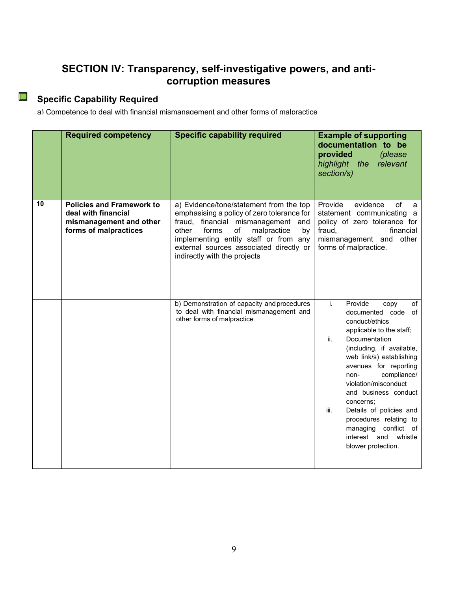#### **SECTION IV: Transparency, self-investigative powers, and anticorruption measures**

# **Specific Capability Required**

a) Competence to deal with financial mismanagement and other forms of malpractice

|    | <b>Required competency</b>                                                                                  | <b>Specific capability required</b>                                                                                                                                                                                                                                                          | <b>Example of supporting</b><br>documentation to be<br>provided<br>(please<br>relevant<br>highlight the<br>section/s)                                                                                                                                                                                                                                                                                                               |
|----|-------------------------------------------------------------------------------------------------------------|----------------------------------------------------------------------------------------------------------------------------------------------------------------------------------------------------------------------------------------------------------------------------------------------|-------------------------------------------------------------------------------------------------------------------------------------------------------------------------------------------------------------------------------------------------------------------------------------------------------------------------------------------------------------------------------------------------------------------------------------|
| 10 | <b>Policies and Framework to</b><br>deal with financial<br>mismanagement and other<br>forms of malpractices | a) Evidence/tone/statement from the top<br>emphasising a policy of zero tolerance for<br>fraud, financial mismanagement and<br>other<br>of<br>malpractice<br>forms<br>by<br>implementing entity staff or from any<br>external sources associated directly or<br>indirectly with the projects | Provide<br>evidence<br>of<br>a<br>statement communicating a<br>policy of zero tolerance for<br>fraud,<br>financial<br>mismanagement and<br>other<br>forms of malpractice.                                                                                                                                                                                                                                                           |
|    |                                                                                                             | b) Demonstration of capacity and procedures<br>to deal with financial mismanagement and<br>other forms of malpractice                                                                                                                                                                        | i.<br>Provide<br>of<br>copy<br>documented code of<br>conduct/ethics<br>applicable to the staff;<br>ii.<br>Documentation<br>(including, if available,<br>web link/s) establishing<br>avenues for reporting<br>compliance/<br>non-<br>violation/misconduct<br>and business conduct<br>concerns;<br>Details of policies and<br>iii.<br>procedures relating to<br>managing<br>conflict of<br>interest and whistle<br>blower protection. |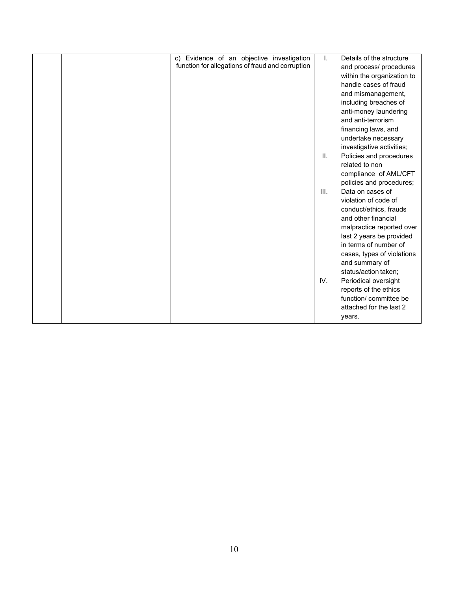| c) Evidence of an objective investigation        | I.   | Details of the structure   |
|--------------------------------------------------|------|----------------------------|
| function for allegations of fraud and corruption |      | and process/ procedures    |
|                                                  |      | within the organization to |
|                                                  |      | handle cases of fraud      |
|                                                  |      | and mismanagement,         |
|                                                  |      | including breaches of      |
|                                                  |      | anti-money laundering      |
|                                                  |      | and anti-terrorism         |
|                                                  |      | financing laws, and        |
|                                                  |      | undertake necessary        |
|                                                  |      | investigative activities;  |
|                                                  | Ш.   | Policies and procedures    |
|                                                  |      | related to non             |
|                                                  |      | compliance of AML/CFT      |
|                                                  |      | policies and procedures;   |
|                                                  | III. | Data on cases of           |
|                                                  |      | violation of code of       |
|                                                  |      | conduct/ethics, frauds     |
|                                                  |      | and other financial        |
|                                                  |      | malpractice reported over  |
|                                                  |      | last 2 years be provided   |
|                                                  |      | in terms of number of      |
|                                                  |      | cases, types of violations |
|                                                  |      | and summary of             |
|                                                  |      | status/action taken;       |
|                                                  | IV.  | Periodical oversight       |
|                                                  |      | reports of the ethics      |
|                                                  |      | function/ committee be     |
|                                                  |      | attached for the last 2    |
|                                                  |      | years.                     |